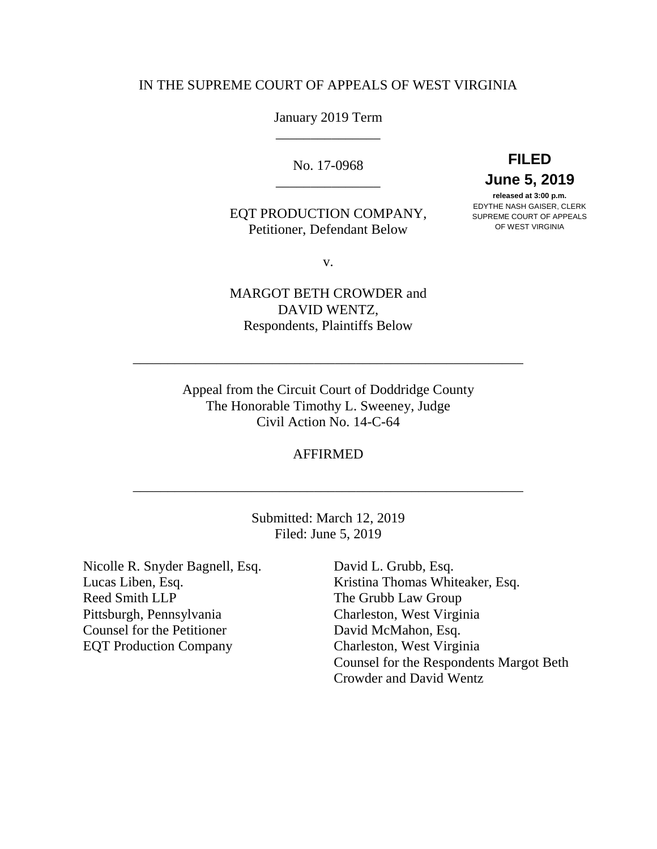## IN THE SUPREME COURT OF APPEALS OF WEST VIRGINIA

# January 2019 Term \_\_\_\_\_\_\_\_\_\_\_\_\_\_\_

No. 17-0968 \_\_\_\_\_\_\_\_\_\_\_\_\_\_\_

# EQT PRODUCTION COMPANY, Petitioner, Defendant Below

**FILED June 5, 2019 released at 3:00 p.m.**

EDYTHE NASH GAISER, CLERK SUPREME COURT OF APPEALS OF WEST VIRGINIA

v.

MARGOT BETH CROWDER and DAVID WENTZ, Respondents, Plaintiffs Below

\_\_\_\_\_\_\_\_\_\_\_\_\_\_\_\_\_\_\_\_\_\_\_\_\_\_\_\_\_\_\_\_\_\_\_\_\_\_\_\_\_\_\_\_\_\_\_\_\_\_\_\_\_\_\_\_

Appeal from the Circuit Court of Doddridge County The Honorable Timothy L. Sweeney, Judge Civil Action No. 14-C-64

### AFFIRMED

\_\_\_\_\_\_\_\_\_\_\_\_\_\_\_\_\_\_\_\_\_\_\_\_\_\_\_\_\_\_\_\_\_\_\_\_\_\_\_\_\_\_\_\_\_\_\_\_\_\_\_\_\_\_\_\_

Submitted: March 12, 2019 Filed: June 5, 2019

Nicolle R. Snyder Bagnell, Esq. Lucas Liben, Esq. Reed Smith LLP Pittsburgh, Pennsylvania Counsel for the Petitioner EQT Production Company

David L. Grubb, Esq. Kristina Thomas Whiteaker, Esq. The Grubb Law Group Charleston, West Virginia David McMahon, Esq. Charleston, West Virginia Counsel for the Respondents Margot Beth Crowder and David Wentz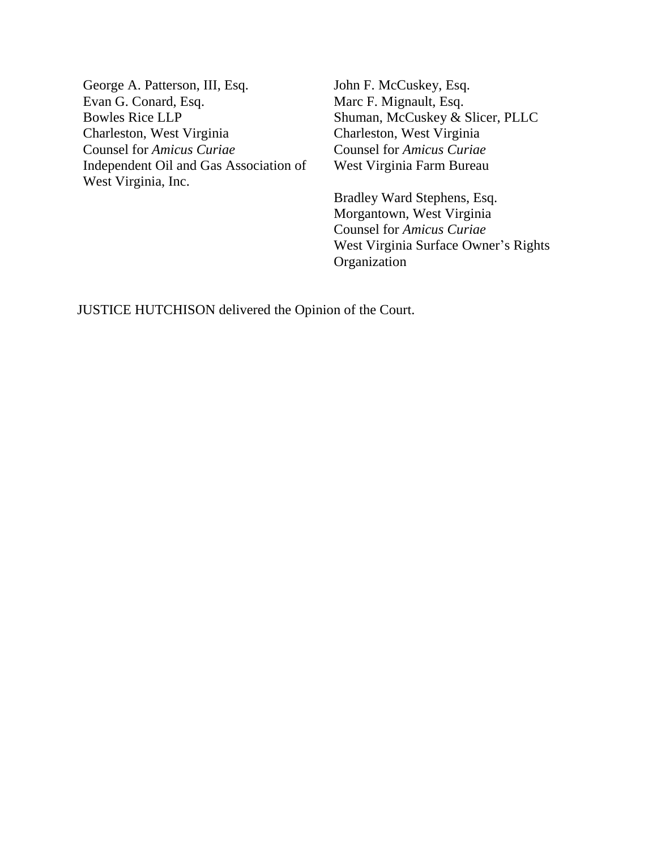George A. Patterson, III, Esq. Evan G. Conard, Esq. Bowles Rice LLP Charleston, West Virginia Counsel for *Amicus Curiae* Independent Oil and Gas Association of West Virginia, Inc.

John F. McCuskey, Esq. Marc F. Mignault, Esq. Shuman, McCuskey & Slicer, PLLC Charleston, West Virginia Counsel for *Amicus Curiae* West Virginia Farm Bureau

Bradley Ward Stephens, Esq. Morgantown, West Virginia Counsel for *Amicus Curiae* West Virginia Surface Owner's Rights Organization

JUSTICE HUTCHISON delivered the Opinion of the Court.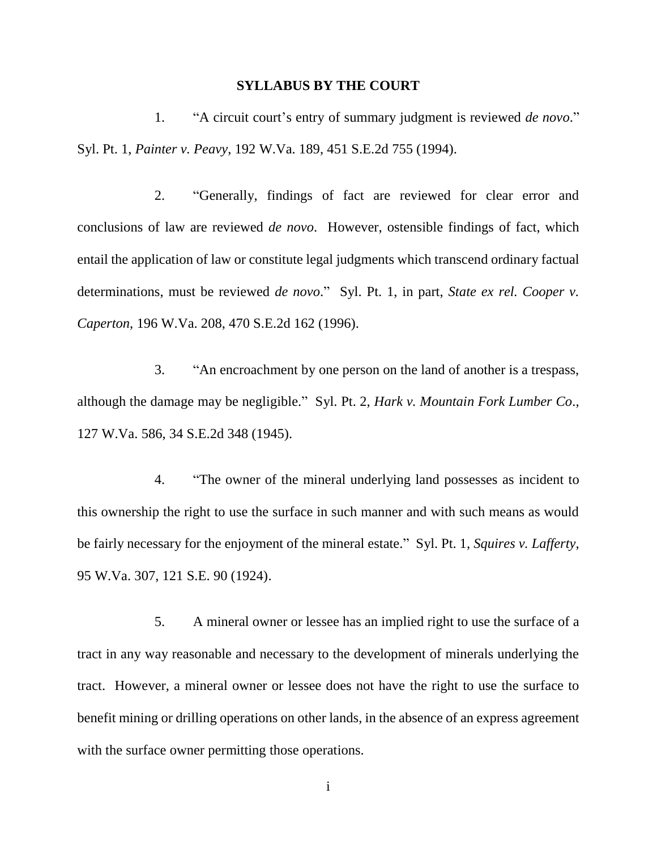#### **SYLLABUS BY THE COURT**

1. "A circuit court's entry of summary judgment is reviewed *de novo*." Syl. Pt. 1, *Painter v. Peavy*, 192 W.Va. 189, 451 S.E.2d 755 (1994).

2. "Generally, findings of fact are reviewed for clear error and conclusions of law are reviewed *de novo*. However, ostensible findings of fact, which entail the application of law or constitute legal judgments which transcend ordinary factual determinations, must be reviewed *de novo*." Syl. Pt. 1, in part, *State ex rel. Cooper v. Caperton*, 196 W.Va. 208, 470 S.E.2d 162 (1996).

3. "An encroachment by one person on the land of another is a trespass, although the damage may be negligible." Syl. Pt. 2, *Hark v. Mountain Fork Lumber Co*., 127 W.Va. 586, 34 S.E.2d 348 (1945).

4. "The owner of the mineral underlying land possesses as incident to this ownership the right to use the surface in such manner and with such means as would be fairly necessary for the enjoyment of the mineral estate." Syl. Pt. 1, *Squires v. Lafferty*, 95 W.Va. 307, 121 S.E. 90 (1924).

5. A mineral owner or lessee has an implied right to use the surface of a tract in any way reasonable and necessary to the development of minerals underlying the tract. However, a mineral owner or lessee does not have the right to use the surface to benefit mining or drilling operations on other lands, in the absence of an express agreement with the surface owner permitting those operations.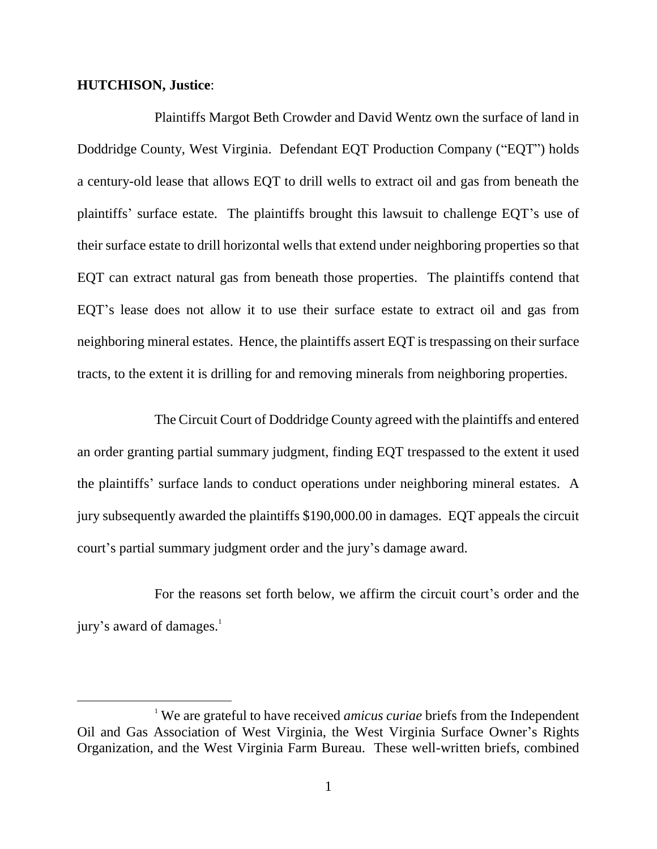## **HUTCHISON, Justice**:

 $\overline{a}$ 

Plaintiffs Margot Beth Crowder and David Wentz own the surface of land in Doddridge County, West Virginia. Defendant EQT Production Company ("EQT") holds a century-old lease that allows EQT to drill wells to extract oil and gas from beneath the plaintiffs' surface estate. The plaintiffs brought this lawsuit to challenge EQT's use of their surface estate to drill horizontal wells that extend under neighboring properties so that EQT can extract natural gas from beneath those properties. The plaintiffs contend that EQT's lease does not allow it to use their surface estate to extract oil and gas from neighboring mineral estates. Hence, the plaintiffs assert EQT is trespassing on their surface tracts, to the extent it is drilling for and removing minerals from neighboring properties.

The Circuit Court of Doddridge County agreed with the plaintiffs and entered an order granting partial summary judgment, finding EQT trespassed to the extent it used the plaintiffs' surface lands to conduct operations under neighboring mineral estates. A jury subsequently awarded the plaintiffs \$190,000.00 in damages. EQT appeals the circuit court's partial summary judgment order and the jury's damage award.

For the reasons set forth below, we affirm the circuit court's order and the jury's award of damages.<sup>1</sup>

<sup>&</sup>lt;sup>1</sup> We are grateful to have received *amicus curiae* briefs from the Independent Oil and Gas Association of West Virginia, the West Virginia Surface Owner's Rights Organization, and the West Virginia Farm Bureau. These well-written briefs, combined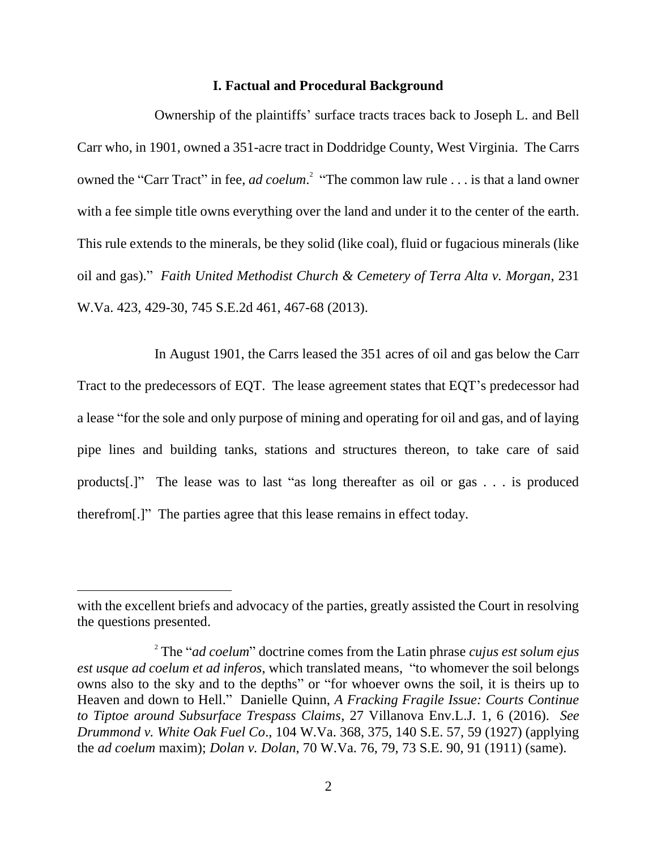#### **I. Factual and Procedural Background**

Ownership of the plaintiffs' surface tracts traces back to Joseph L. and Bell Carr who, in 1901, owned a 351-acre tract in Doddridge County, West Virginia. The Carrs owned the "Carr Tract" in fee, *ad coelum*.<sup>2</sup> "The common law rule . . . is that a land owner with a fee simple title owns everything over the land and under it to the center of the earth. This rule extends to the minerals, be they solid (like coal), fluid or fugacious minerals (like oil and gas)." *Faith United Methodist Church & Cemetery of Terra Alta v. Morgan*, 231 W.Va. 423, 429-30, 745 S.E.2d 461, 467-68 (2013).

In August 1901, the Carrs leased the 351 acres of oil and gas below the Carr Tract to the predecessors of EQT. The lease agreement states that EQT's predecessor had a lease "for the sole and only purpose of mining and operating for oil and gas, and of laying pipe lines and building tanks, stations and structures thereon, to take care of said products[.]" The lease was to last "as long thereafter as oil or gas . . . is produced therefrom[.]" The parties agree that this lease remains in effect today.

with the excellent briefs and advocacy of the parties, greatly assisted the Court in resolving the questions presented.

<sup>2</sup> The "*ad coelum*" doctrine comes from the Latin phrase *cujus est solum ejus est usque ad coelum et ad inferos*, which translated means, "to whomever the soil belongs owns also to the sky and to the depths" or "for whoever owns the soil, it is theirs up to Heaven and down to Hell." Danielle Quinn, *A Fracking Fragile Issue: Courts Continue to Tiptoe around Subsurface Trespass Claims*, 27 Villanova Env.L.J. 1, 6 (2016). *See Drummond v. White Oak Fuel Co*., 104 W.Va. 368, 375, 140 S.E. 57, 59 (1927) (applying the *ad coelum* maxim); *Dolan v. Dolan*, 70 W.Va. 76, 79, 73 S.E. 90, 91 (1911) (same).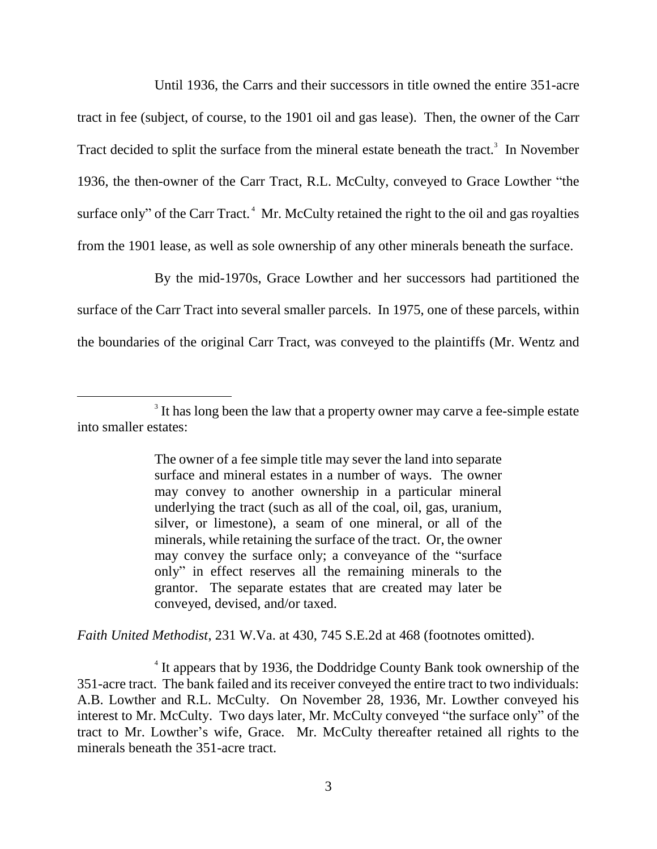Until 1936, the Carrs and their successors in title owned the entire 351-acre tract in fee (subject, of course, to the 1901 oil and gas lease). Then, the owner of the Carr Tract decided to split the surface from the mineral estate beneath the tract.<sup>3</sup> In November 1936, the then-owner of the Carr Tract, R.L. McCulty, conveyed to Grace Lowther "the surface only" of the Carr Tract. $<sup>4</sup>$  Mr. McCulty retained the right to the oil and gas royalties</sup> from the 1901 lease, as well as sole ownership of any other minerals beneath the surface.

By the mid-1970s, Grace Lowther and her successors had partitioned the surface of the Carr Tract into several smaller parcels. In 1975, one of these parcels, within the boundaries of the original Carr Tract, was conveyed to the plaintiffs (Mr. Wentz and

 $\overline{a}$ 

*Faith United Methodist*, 231 W.Va. at 430, 745 S.E.2d at 468 (footnotes omitted).

<sup>4</sup> It appears that by 1936, the Doddridge County Bank took ownership of the 351-acre tract. The bank failed and its receiver conveyed the entire tract to two individuals: A.B. Lowther and R.L. McCulty. On November 28, 1936, Mr. Lowther conveyed his interest to Mr. McCulty. Two days later, Mr. McCulty conveyed "the surface only" of the tract to Mr. Lowther's wife, Grace. Mr. McCulty thereafter retained all rights to the minerals beneath the 351-acre tract.

<sup>&</sup>lt;sup>3</sup> It has long been the law that a property owner may carve a fee-simple estate into smaller estates:

The owner of a fee simple title may sever the land into separate surface and mineral estates in a number of ways. The owner may convey to another ownership in a particular mineral underlying the tract (such as all of the coal, oil, gas, uranium, silver, or limestone), a seam of one mineral, or all of the minerals, while retaining the surface of the tract. Or, the owner may convey the surface only; a conveyance of the "surface only" in effect reserves all the remaining minerals to the grantor. The separate estates that are created may later be conveyed, devised, and/or taxed.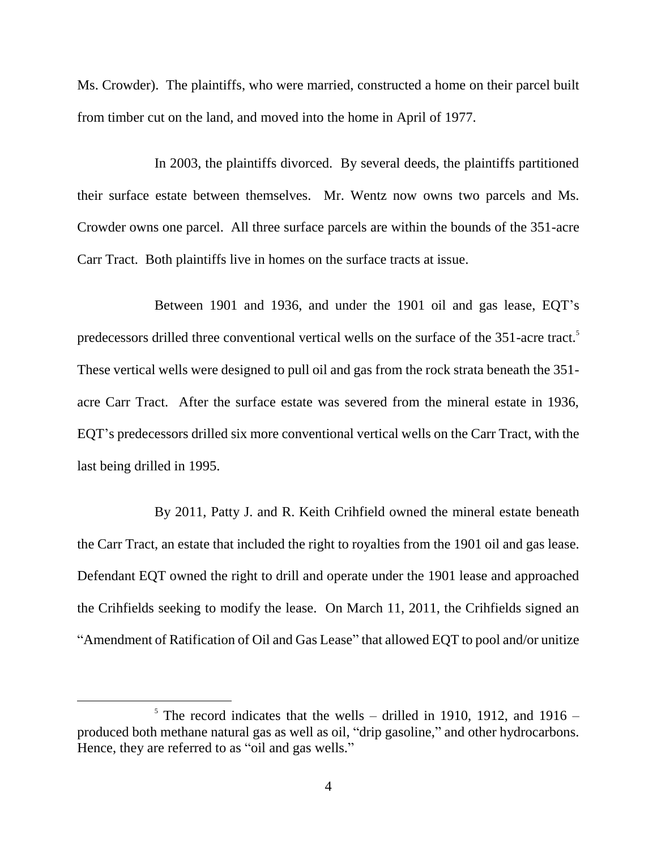Ms. Crowder). The plaintiffs, who were married, constructed a home on their parcel built from timber cut on the land, and moved into the home in April of 1977.

In 2003, the plaintiffs divorced. By several deeds, the plaintiffs partitioned their surface estate between themselves. Mr. Wentz now owns two parcels and Ms. Crowder owns one parcel. All three surface parcels are within the bounds of the 351-acre Carr Tract. Both plaintiffs live in homes on the surface tracts at issue.

Between 1901 and 1936, and under the 1901 oil and gas lease, EQT's predecessors drilled three conventional vertical wells on the surface of the 351-acre tract.<sup>5</sup> These vertical wells were designed to pull oil and gas from the rock strata beneath the 351 acre Carr Tract. After the surface estate was severed from the mineral estate in 1936, EQT's predecessors drilled six more conventional vertical wells on the Carr Tract, with the last being drilled in 1995.

By 2011, Patty J. and R. Keith Crihfield owned the mineral estate beneath the Carr Tract, an estate that included the right to royalties from the 1901 oil and gas lease. Defendant EQT owned the right to drill and operate under the 1901 lease and approached the Crihfields seeking to modify the lease. On March 11, 2011, the Crihfields signed an "Amendment of Ratification of Oil and Gas Lease" that allowed EQT to pool and/or unitize

 $5$  The record indicates that the wells – drilled in 1910, 1912, and 1916 – produced both methane natural gas as well as oil, "drip gasoline," and other hydrocarbons. Hence, they are referred to as "oil and gas wells."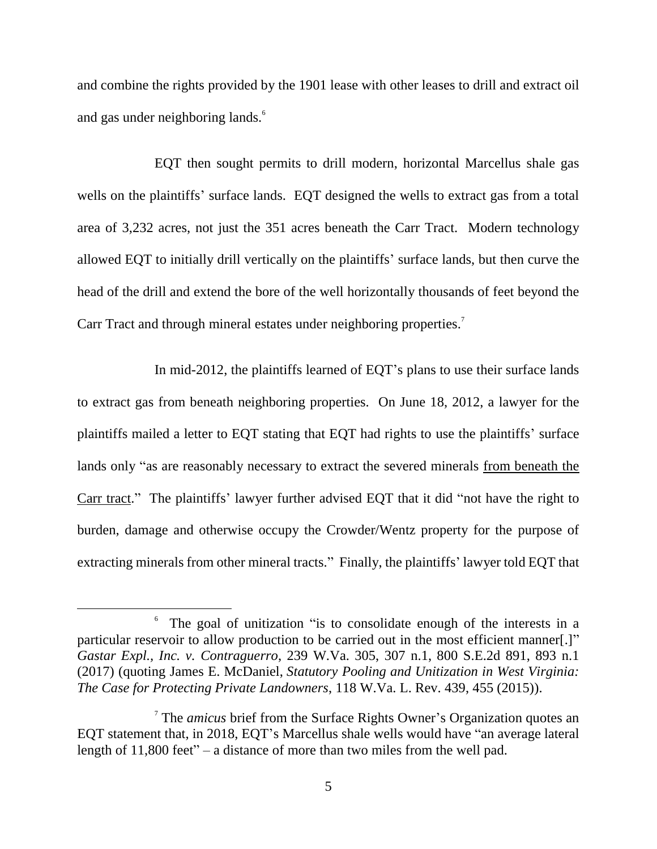and combine the rights provided by the 1901 lease with other leases to drill and extract oil and gas under neighboring lands.<sup>6</sup>

EQT then sought permits to drill modern, horizontal Marcellus shale gas wells on the plaintiffs' surface lands. EQT designed the wells to extract gas from a total area of 3,232 acres, not just the 351 acres beneath the Carr Tract. Modern technology allowed EQT to initially drill vertically on the plaintiffs' surface lands, but then curve the head of the drill and extend the bore of the well horizontally thousands of feet beyond the Carr Tract and through mineral estates under neighboring properties.<sup>7</sup>

In mid-2012, the plaintiffs learned of EQT's plans to use their surface lands to extract gas from beneath neighboring properties. On June 18, 2012, a lawyer for the plaintiffs mailed a letter to EQT stating that EQT had rights to use the plaintiffs' surface lands only "as are reasonably necessary to extract the severed minerals from beneath the Carr tract." The plaintiffs' lawyer further advised EQT that it did "not have the right to burden, damage and otherwise occupy the Crowder/Wentz property for the purpose of extracting minerals from other mineral tracts." Finally, the plaintiffs' lawyer told EQT that

<sup>&</sup>lt;sup>6</sup> The goal of unitization "is to consolidate enough of the interests in a particular reservoir to allow production to be carried out in the most efficient manner[.]" *Gastar Expl., Inc. v. Contraguerro*, 239 W.Va. 305, 307 n.1, 800 S.E.2d 891, 893 n.1 (2017) (quoting James E. McDaniel, *Statutory Pooling and Unitization in West Virginia: The Case for Protecting Private Landowners*, 118 W.Va. L. Rev. 439, 455 (2015)).

<sup>7</sup> The *amicus* brief from the Surface Rights Owner's Organization quotes an EQT statement that, in 2018, EQT's Marcellus shale wells would have "an average lateral length of 11,800 feet" – a distance of more than two miles from the well pad.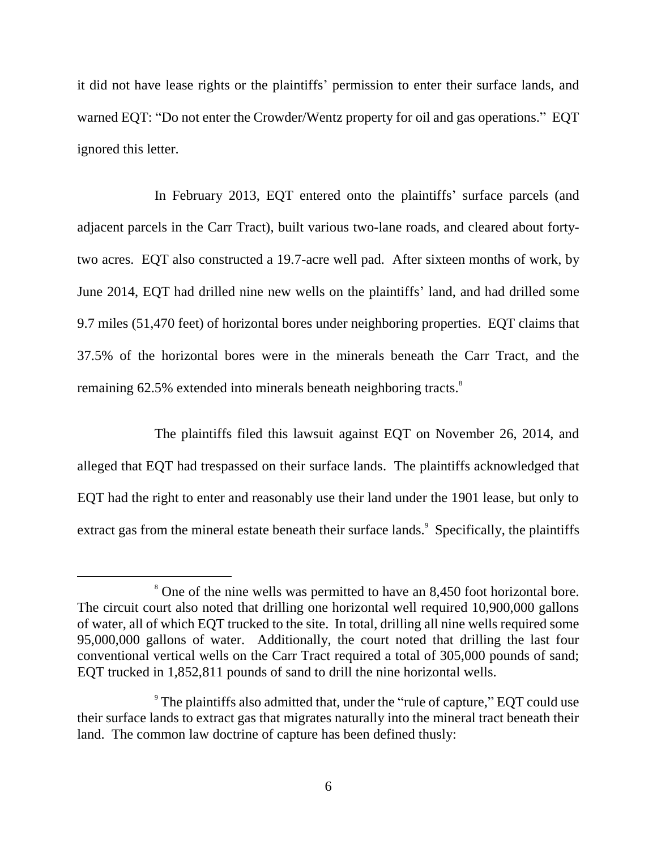it did not have lease rights or the plaintiffs' permission to enter their surface lands, and warned EQT: "Do not enter the Crowder/Wentz property for oil and gas operations." EQT ignored this letter.

In February 2013, EQT entered onto the plaintiffs' surface parcels (and adjacent parcels in the Carr Tract), built various two-lane roads, and cleared about fortytwo acres. EQT also constructed a 19.7-acre well pad. After sixteen months of work, by June 2014, EQT had drilled nine new wells on the plaintiffs' land, and had drilled some 9.7 miles (51,470 feet) of horizontal bores under neighboring properties. EQT claims that 37.5% of the horizontal bores were in the minerals beneath the Carr Tract, and the remaining 62.5% extended into minerals beneath neighboring tracts.<sup>8</sup>

The plaintiffs filed this lawsuit against EQT on November 26, 2014, and alleged that EQT had trespassed on their surface lands. The plaintiffs acknowledged that EQT had the right to enter and reasonably use their land under the 1901 lease, but only to extract gas from the mineral estate beneath their surface lands.<sup>9</sup> Specifically, the plaintiffs

<sup>&</sup>lt;sup>8</sup> One of the nine wells was permitted to have an 8,450 foot horizontal bore. The circuit court also noted that drilling one horizontal well required 10,900,000 gallons of water, all of which EQT trucked to the site. In total, drilling all nine wells required some 95,000,000 gallons of water. Additionally, the court noted that drilling the last four conventional vertical wells on the Carr Tract required a total of 305,000 pounds of sand; EQT trucked in 1,852,811 pounds of sand to drill the nine horizontal wells.

 $\degree$  The plaintiffs also admitted that, under the "rule of capture," EQT could use their surface lands to extract gas that migrates naturally into the mineral tract beneath their land. The common law doctrine of capture has been defined thusly: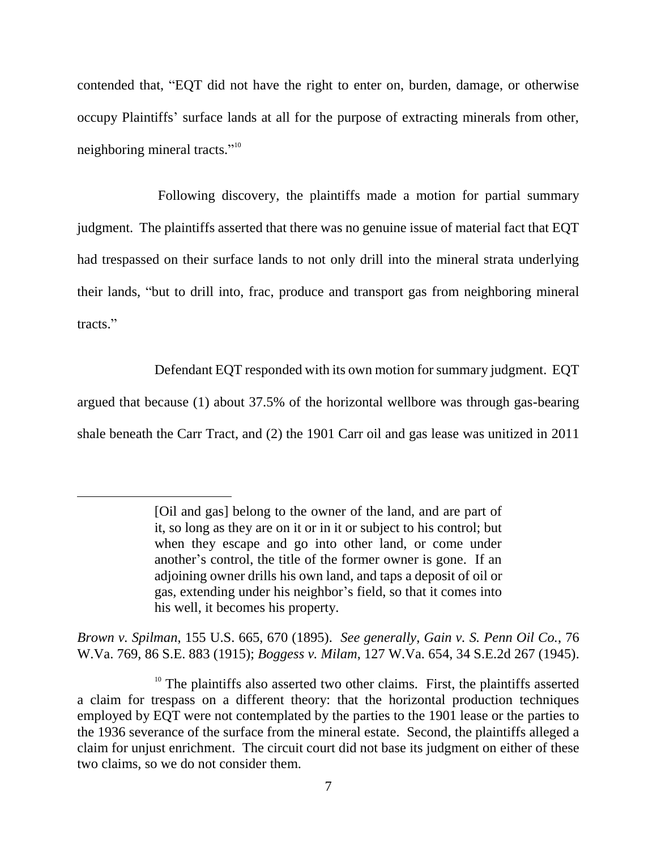contended that, "EQT did not have the right to enter on, burden, damage, or otherwise occupy Plaintiffs' surface lands at all for the purpose of extracting minerals from other, neighboring mineral tracts."<sup>10</sup>

Following discovery, the plaintiffs made a motion for partial summary judgment. The plaintiffs asserted that there was no genuine issue of material fact that EQT had trespassed on their surface lands to not only drill into the mineral strata underlying their lands, "but to drill into, frac, produce and transport gas from neighboring mineral tracts."

Defendant EQT responded with its own motion for summary judgment. EQT

argued that because (1) about 37.5% of the horizontal wellbore was through gas-bearing shale beneath the Carr Tract, and (2) the 1901 Carr oil and gas lease was unitized in 2011

 $\overline{a}$ 

*Brown v. Spilman*, 155 U.S. 665, 670 (1895). *See generally*, *Gain v. S. Penn Oil Co.*, 76 W.Va. 769, 86 S.E. 883 (1915); *Boggess v. Milam*, 127 W.Va. 654, 34 S.E.2d 267 (1945).

<sup>[</sup>Oil and gas] belong to the owner of the land, and are part of it, so long as they are on it or in it or subject to his control; but when they escape and go into other land, or come under another's control, the title of the former owner is gone. If an adjoining owner drills his own land, and taps a deposit of oil or gas, extending under his neighbor's field, so that it comes into his well, it becomes his property.

 $10$  The plaintiffs also asserted two other claims. First, the plaintiffs asserted a claim for trespass on a different theory: that the horizontal production techniques employed by EQT were not contemplated by the parties to the 1901 lease or the parties to the 1936 severance of the surface from the mineral estate. Second, the plaintiffs alleged a claim for unjust enrichment. The circuit court did not base its judgment on either of these two claims, so we do not consider them.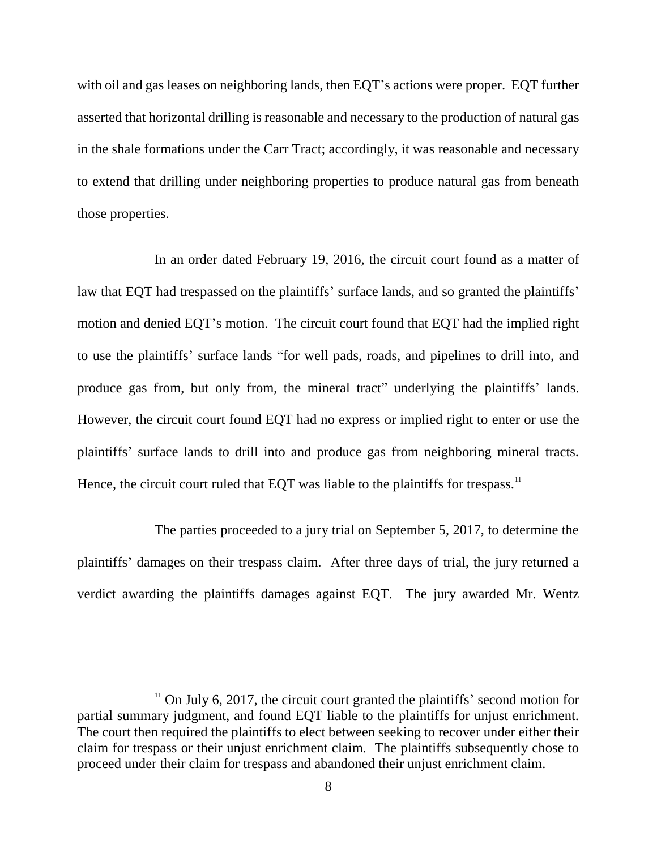with oil and gas leases on neighboring lands, then EQT's actions were proper. EQT further asserted that horizontal drilling is reasonable and necessary to the production of natural gas in the shale formations under the Carr Tract; accordingly, it was reasonable and necessary to extend that drilling under neighboring properties to produce natural gas from beneath those properties.

In an order dated February 19, 2016, the circuit court found as a matter of law that EQT had trespassed on the plaintiffs' surface lands, and so granted the plaintiffs' motion and denied EQT's motion. The circuit court found that EQT had the implied right to use the plaintiffs' surface lands "for well pads, roads, and pipelines to drill into, and produce gas from, but only from, the mineral tract" underlying the plaintiffs' lands. However, the circuit court found EQT had no express or implied right to enter or use the plaintiffs' surface lands to drill into and produce gas from neighboring mineral tracts. Hence, the circuit court ruled that EQT was liable to the plaintiffs for trespass.<sup>11</sup>

The parties proceeded to a jury trial on September 5, 2017, to determine the plaintiffs' damages on their trespass claim. After three days of trial, the jury returned a verdict awarding the plaintiffs damages against EQT. The jury awarded Mr. Wentz

 $11$  On July 6, 2017, the circuit court granted the plaintiffs' second motion for partial summary judgment, and found EQT liable to the plaintiffs for unjust enrichment. The court then required the plaintiffs to elect between seeking to recover under either their claim for trespass or their unjust enrichment claim. The plaintiffs subsequently chose to proceed under their claim for trespass and abandoned their unjust enrichment claim.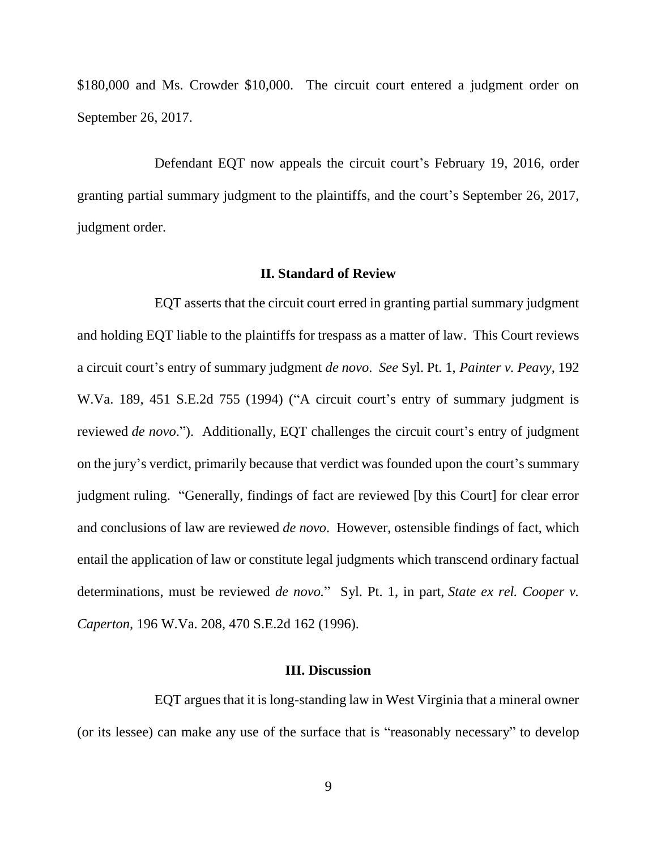\$180,000 and Ms. Crowder \$10,000. The circuit court entered a judgment order on September 26, 2017.

Defendant EQT now appeals the circuit court's February 19, 2016, order granting partial summary judgment to the plaintiffs, and the court's September 26, 2017, judgment order.

## **II. Standard of Review**

EQT asserts that the circuit court erred in granting partial summary judgment and holding EQT liable to the plaintiffs for trespass as a matter of law. This Court reviews a circuit court's entry of summary judgment *de novo*. *See* Syl. Pt. 1, *Painter v. Peavy*, 192 W.Va. 189, 451 S.E.2d 755 (1994) ("A circuit court's entry of summary judgment is reviewed *de novo*."). Additionally, EQT challenges the circuit court's entry of judgment on the jury's verdict, primarily because that verdict was founded upon the court's summary judgment ruling. "Generally, findings of fact are reviewed [by this Court] for clear error and conclusions of law are reviewed *de novo*. However, ostensible findings of fact, which entail the application of law or constitute legal judgments which transcend ordinary factual determinations, must be reviewed *de novo.*" Syl. Pt. 1, in part, *State ex rel. Cooper v. Caperton,* 196 W.Va. 208, 470 S.E.2d 162 (1996).

#### **III. Discussion**

EQT argues that it is long-standing law in West Virginia that a mineral owner (or its lessee) can make any use of the surface that is "reasonably necessary" to develop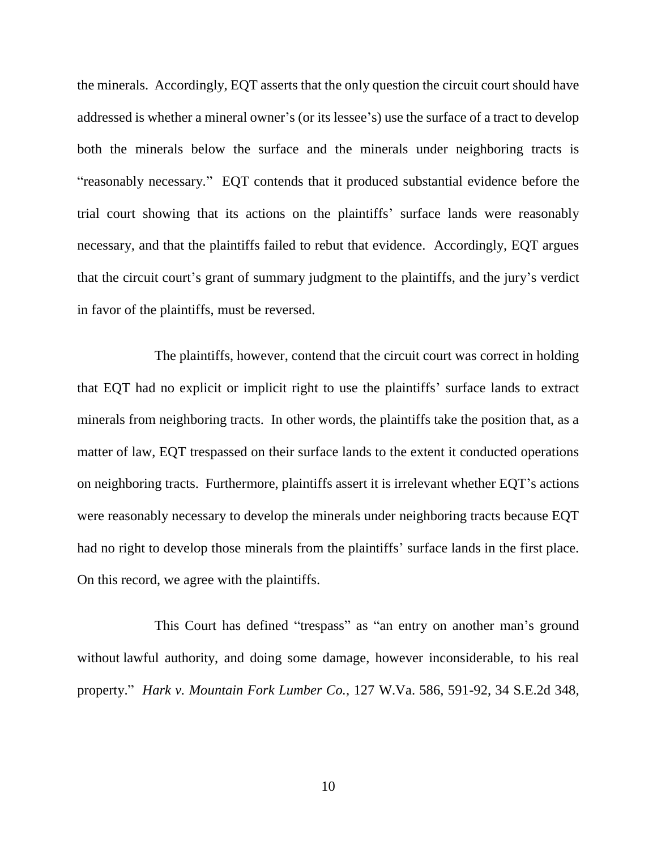the minerals. Accordingly, EQT asserts that the only question the circuit court should have addressed is whether a mineral owner's (or its lessee's) use the surface of a tract to develop both the minerals below the surface and the minerals under neighboring tracts is "reasonably necessary." EQT contends that it produced substantial evidence before the trial court showing that its actions on the plaintiffs' surface lands were reasonably necessary, and that the plaintiffs failed to rebut that evidence. Accordingly, EQT argues that the circuit court's grant of summary judgment to the plaintiffs, and the jury's verdict in favor of the plaintiffs, must be reversed.

The plaintiffs, however, contend that the circuit court was correct in holding that EQT had no explicit or implicit right to use the plaintiffs' surface lands to extract minerals from neighboring tracts. In other words, the plaintiffs take the position that, as a matter of law, EQT trespassed on their surface lands to the extent it conducted operations on neighboring tracts. Furthermore, plaintiffs assert it is irrelevant whether EQT's actions were reasonably necessary to develop the minerals under neighboring tracts because EQT had no right to develop those minerals from the plaintiffs' surface lands in the first place. On this record, we agree with the plaintiffs.

This Court has defined "trespass" as "an entry on another man's ground without lawful authority, and doing some damage, however inconsiderable, to his real property." *Hark v. Mountain Fork Lumber Co.*, 127 W.Va. 586, 591-92, 34 S.E.2d 348,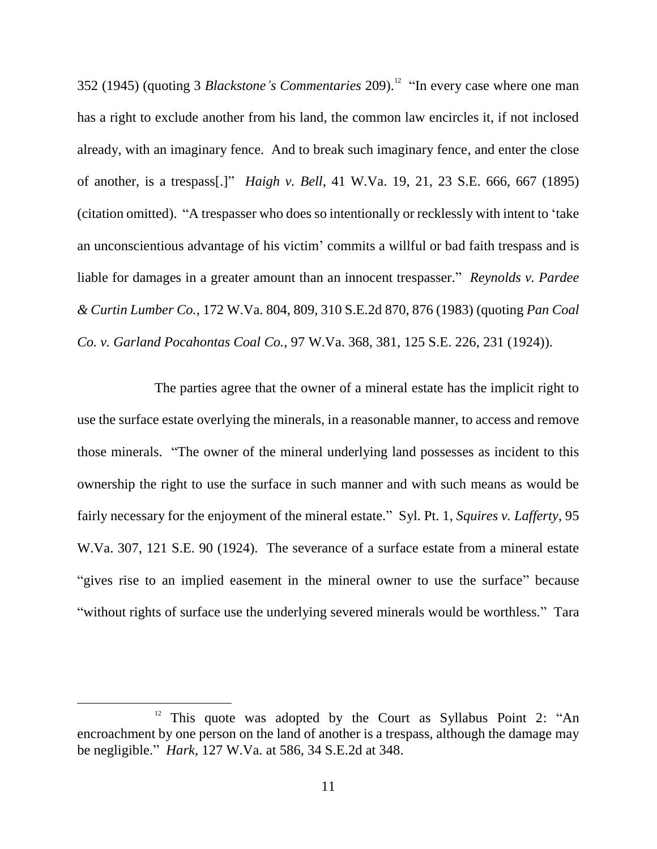352 (1945) (quoting 3 *Blackstone's Commentaries* 209).<sup>12</sup> "In every case where one man has a right to exclude another from his land, the common law encircles it, if not inclosed already, with an imaginary fence. And to break such imaginary fence, and enter the close of another, is a trespass[.]" *Haigh v. Bell*, 41 W.Va. 19, 21, 23 S.E. 666, 667 (1895) (citation omitted). "A trespasser who does so intentionally or recklessly with intent to 'take an unconscientious advantage of his victim' commits a willful or bad faith trespass and is liable for damages in a greater amount than an innocent trespasser." *Reynolds v. Pardee & Curtin Lumber Co.*, 172 W.Va. 804, 809, 310 S.E.2d 870, 876 (1983) (quoting *Pan Coal Co. v. Garland Pocahontas Coal Co.*, 97 W.Va. 368, 381, 125 S.E. 226, 231 (1924)).

The parties agree that the owner of a mineral estate has the implicit right to use the surface estate overlying the minerals, in a reasonable manner, to access and remove those minerals. "The owner of the mineral underlying land possesses as incident to this ownership the right to use the surface in such manner and with such means as would be fairly necessary for the enjoyment of the mineral estate." Syl. Pt. 1, *Squires v. Lafferty*, 95 W.Va. 307, 121 S.E. 90 (1924). The severance of a surface estate from a mineral estate "gives rise to an implied easement in the mineral owner to use the surface" because "without rights of surface use the underlying severed minerals would be worthless." Tara

This quote was adopted by the Court as Syllabus Point 2: "An encroachment by one person on the land of another is a trespass, although the damage may be negligible." *Hark*, 127 W.Va. at 586, 34 S.E.2d at 348.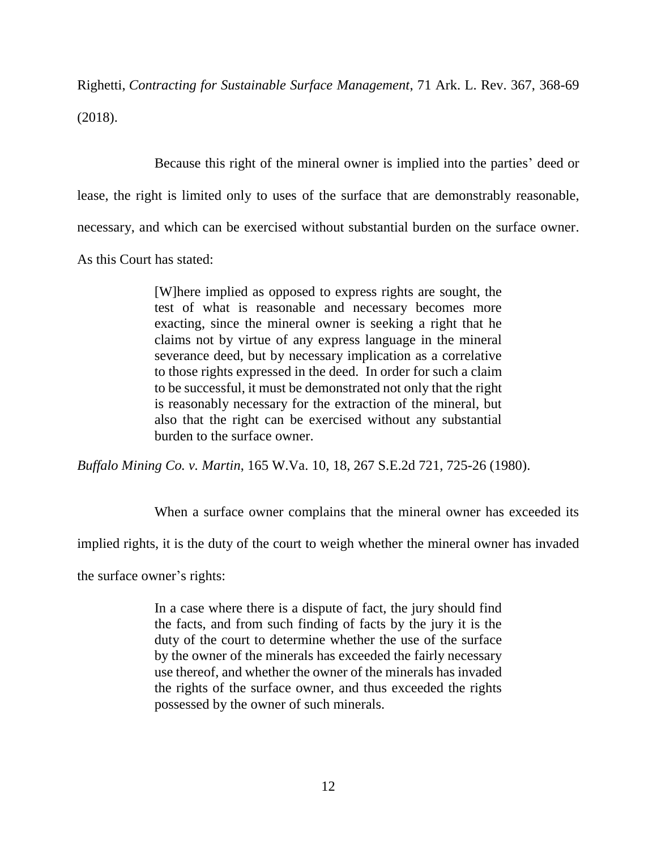Righetti, *Contracting for Sustainable Surface Management*, 71 Ark. L. Rev. 367, 368-69 (2018).

Because this right of the mineral owner is implied into the parties' deed or lease, the right is limited only to uses of the surface that are demonstrably reasonable, necessary, and which can be exercised without substantial burden on the surface owner.

As this Court has stated:

[W]here implied as opposed to express rights are sought, the test of what is reasonable and necessary becomes more exacting, since the mineral owner is seeking a right that he claims not by virtue of any express language in the mineral severance deed, but by necessary implication as a correlative to those rights expressed in the deed. In order for such a claim to be successful, it must be demonstrated not only that the right is reasonably necessary for the extraction of the mineral, but also that the right can be exercised without any substantial burden to the surface owner.

*Buffalo Mining Co. v. Martin*, 165 W.Va. 10, 18, 267 S.E.2d 721, 725-26 (1980).

When a surface owner complains that the mineral owner has exceeded its

implied rights, it is the duty of the court to weigh whether the mineral owner has invaded

the surface owner's rights:

In a case where there is a dispute of fact, the jury should find the facts, and from such finding of facts by the jury it is the duty of the court to determine whether the use of the surface by the owner of the minerals has exceeded the fairly necessary use thereof, and whether the owner of the minerals has invaded the rights of the surface owner, and thus exceeded the rights possessed by the owner of such minerals.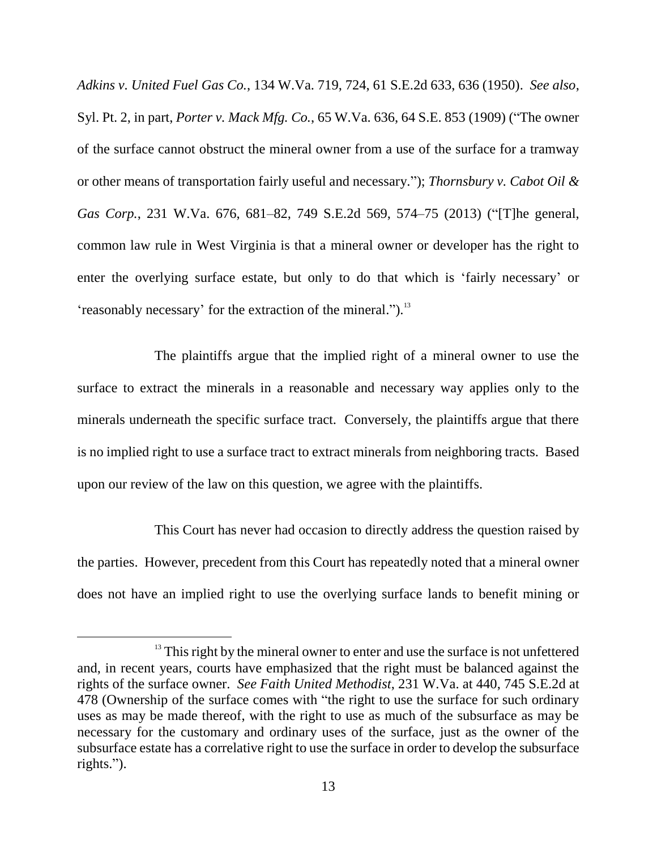*Adkins v. United Fuel Gas Co.*, 134 W.Va. 719, 724, 61 S.E.2d 633, 636 (1950). *See also*, Syl. Pt. 2, in part, *Porter v. Mack Mfg. Co.*, 65 W.Va. 636, 64 S.E. 853 (1909) ("The owner of the surface cannot obstruct the mineral owner from a use of the surface for a tramway or other means of transportation fairly useful and necessary."); *Thornsbury v. Cabot Oil & Gas Corp.*, 231 W.Va. 676, 681–82, 749 S.E.2d 569, 574–75 (2013) ("[T]he general, common law rule in West Virginia is that a mineral owner or developer has the right to enter the overlying surface estate, but only to do that which is 'fairly necessary' or 'reasonably necessary' for the extraction of the mineral."). $^{13}$ 

The plaintiffs argue that the implied right of a mineral owner to use the surface to extract the minerals in a reasonable and necessary way applies only to the minerals underneath the specific surface tract. Conversely, the plaintiffs argue that there is no implied right to use a surface tract to extract minerals from neighboring tracts. Based upon our review of the law on this question, we agree with the plaintiffs.

This Court has never had occasion to directly address the question raised by the parties. However, precedent from this Court has repeatedly noted that a mineral owner does not have an implied right to use the overlying surface lands to benefit mining or

<sup>&</sup>lt;sup>13</sup> This right by the mineral owner to enter and use the surface is not unfettered and, in recent years, courts have emphasized that the right must be balanced against the rights of the surface owner. *See Faith United Methodist*, 231 W.Va. at 440, 745 S.E.2d at 478 (Ownership of the surface comes with "the right to use the surface for such ordinary uses as may be made thereof, with the right to use as much of the subsurface as may be necessary for the customary and ordinary uses of the surface, just as the owner of the subsurface estate has a correlative right to use the surface in order to develop the subsurface rights.").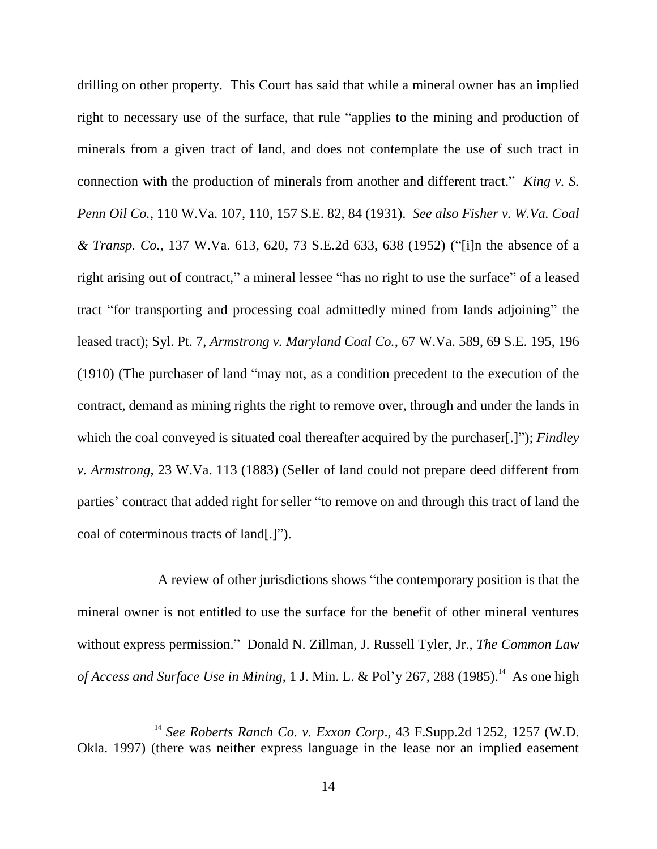drilling on other property. This Court has said that while a mineral owner has an implied right to necessary use of the surface, that rule "applies to the mining and production of minerals from a given tract of land, and does not contemplate the use of such tract in connection with the production of minerals from another and different tract." *King v. S. Penn Oil Co.*, 110 W.Va. 107, 110, 157 S.E. 82, 84 (1931). *See also Fisher v. W.Va. Coal & Transp. Co.*, 137 W.Va. 613, 620, 73 S.E.2d 633, 638 (1952) ("[i]n the absence of a right arising out of contract," a mineral lessee "has no right to use the surface" of a leased tract "for transporting and processing coal admittedly mined from lands adjoining" the leased tract); Syl. Pt. 7, *Armstrong v. Maryland Coal Co.*, 67 W.Va. 589, 69 S.E. 195, 196 (1910) (The purchaser of land "may not, as a condition precedent to the execution of the contract, demand as mining rights the right to remove over, through and under the lands in which the coal conveyed is situated coal thereafter acquired by the purchaser.<sup>[1]</sup>"); *Findley v. Armstrong*, 23 W.Va. 113 (1883) (Seller of land could not prepare deed different from parties' contract that added right for seller "to remove on and through this tract of land the coal of coterminous tracts of land[.]").

A review of other jurisdictions shows "the contemporary position is that the mineral owner is not entitled to use the surface for the benefit of other mineral ventures without express permission." Donald N. Zillman, J. Russell Tyler, Jr., *The Common Law of Access and Surface Use in Mining*, 1 J. Min. L. & Pol'y 267, 288 (1985).<sup>14</sup> As one high

<sup>14</sup> *See Roberts Ranch Co. v. Exxon Corp*., 43 F.Supp.2d 1252, 1257 (W.D. Okla. 1997) (there was neither express language in the lease nor an implied easement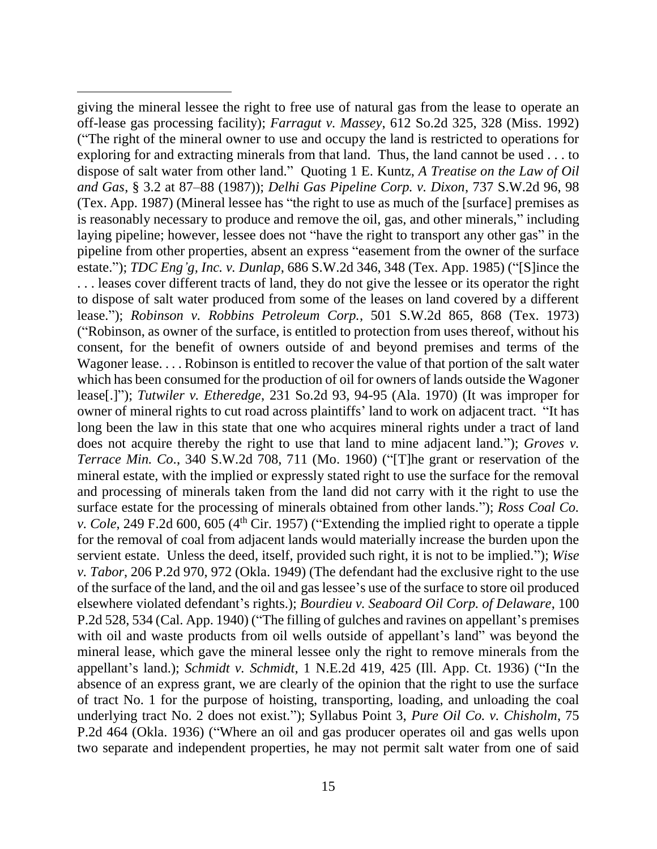giving the mineral lessee the right to free use of natural gas from the lease to operate an off-lease gas processing facility); *Farragut v. Massey*, 612 So.2d 325, 328 (Miss. 1992) ("The right of the mineral owner to use and occupy the land is restricted to operations for exploring for and extracting minerals from that land. Thus, the land cannot be used . . . to dispose of salt water from other land." Quoting 1 E. Kuntz, *A Treatise on the Law of Oil and Gas*, § 3.2 at 87–88 (1987)); *Delhi Gas Pipeline Corp. v. Dixon*, 737 S.W.2d 96, 98 (Tex. App. 1987) (Mineral lessee has "the right to use as much of the [surface] premises as is reasonably necessary to produce and remove the oil, gas, and other minerals," including laying pipeline; however, lessee does not "have the right to transport any other gas" in the pipeline from other properties, absent an express "easement from the owner of the surface estate."); *TDC Eng'g, Inc. v. Dunlap*, 686 S.W.2d 346, 348 (Tex. App. 1985) ("[S]ince the . . . leases cover different tracts of land, they do not give the lessee or its operator the right to dispose of salt water produced from some of the leases on land covered by a different lease."); *Robinson v. Robbins Petroleum Corp.*, 501 S.W.2d 865, 868 (Tex. 1973) ("Robinson, as owner of the surface, is entitled to protection from uses thereof, without his consent, for the benefit of owners outside of and beyond premises and terms of the Wagoner lease. . . . Robinson is entitled to recover the value of that portion of the salt water which has been consumed for the production of oil for owners of lands outside the Wagoner lease[.]"); *Tutwiler v. Etheredge*, 231 So.2d 93, 94-95 (Ala. 1970) (It was improper for owner of mineral rights to cut road across plaintiffs' land to work on adjacent tract. "It has long been the law in this state that one who acquires mineral rights under a tract of land does not acquire thereby the right to use that land to mine adjacent land."); *Groves v. Terrace Min. Co*., 340 S.W.2d 708, 711 (Mo. 1960) ("[T]he grant or reservation of the mineral estate, with the implied or expressly stated right to use the surface for the removal and processing of minerals taken from the land did not carry with it the right to use the surface estate for the processing of minerals obtained from other lands."); *Ross Coal Co. v. Cole*, 249 F.2d 600, 605 (4<sup>th</sup> Cir. 1957) ("Extending the implied right to operate a tipple for the removal of coal from adjacent lands would materially increase the burden upon the servient estate. Unless the deed, itself, provided such right, it is not to be implied."); *Wise v. Tabor*, 206 P.2d 970, 972 (Okla. 1949) (The defendant had the exclusive right to the use of the surface of the land, and the oil and gas lessee's use of the surface to store oil produced elsewhere violated defendant's rights.); *Bourdieu v. Seaboard Oil Corp. of Delaware*, 100 P.2d 528, 534 (Cal. App. 1940) ("The filling of gulches and ravines on appellant's premises with oil and waste products from oil wells outside of appellant's land" was beyond the mineral lease, which gave the mineral lessee only the right to remove minerals from the appellant's land.); *Schmidt v. Schmidt*, 1 N.E.2d 419, 425 (Ill. App. Ct. 1936) ("In the absence of an express grant, we are clearly of the opinion that the right to use the surface of tract No. 1 for the purpose of hoisting, transporting, loading, and unloading the coal underlying tract No. 2 does not exist."); Syllabus Point 3, *Pure Oil Co. v. Chisholm*, 75 P.2d 464 (Okla. 1936) ("Where an oil and gas producer operates oil and gas wells upon two separate and independent properties, he may not permit salt water from one of said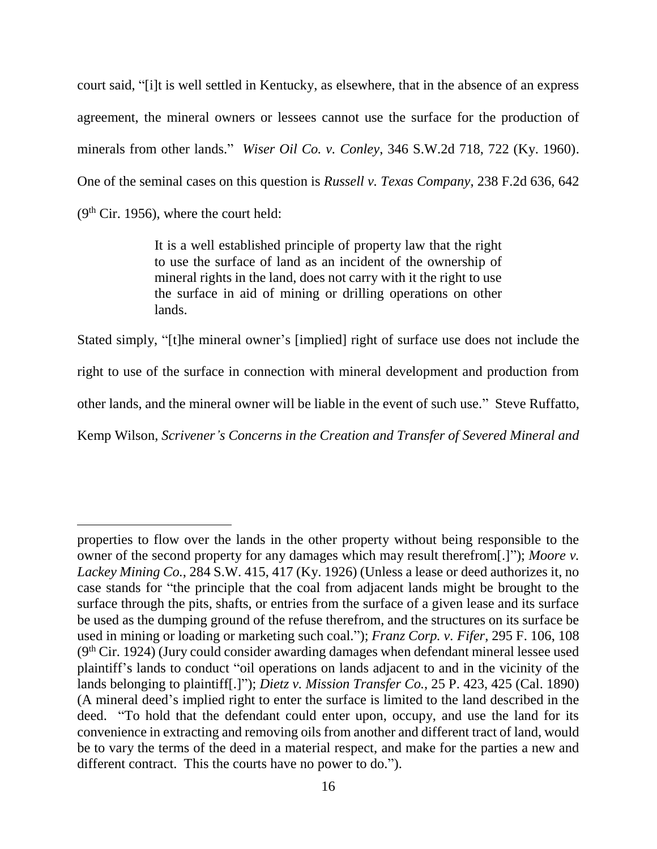court said, "[i]t is well settled in Kentucky, as elsewhere, that in the absence of an express agreement, the mineral owners or lessees cannot use the surface for the production of minerals from other lands." *Wiser Oil Co. v. Conley*, 346 S.W.2d 718, 722 (Ky. 1960). One of the seminal cases on this question is *Russell v. Texas Company*, 238 F.2d 636, 642  $(9<sup>th</sup> Cir. 1956)$ , where the court held:

> It is a well established principle of property law that the right to use the surface of land as an incident of the ownership of mineral rights in the land, does not carry with it the right to use the surface in aid of mining or drilling operations on other lands.

Stated simply, "[t]he mineral owner's [implied] right of surface use does not include the right to use of the surface in connection with mineral development and production from other lands, and the mineral owner will be liable in the event of such use." Steve Ruffatto, Kemp Wilson, *Scrivener's Concerns in the Creation and Transfer of Severed Mineral and* 

properties to flow over the lands in the other property without being responsible to the owner of the second property for any damages which may result therefrom[.]"); *Moore v. Lackey Mining Co.*, 284 S.W. 415, 417 (Ky. 1926) (Unless a lease or deed authorizes it, no case stands for "the principle that the coal from adjacent lands might be brought to the surface through the pits, shafts, or entries from the surface of a given lease and its surface be used as the dumping ground of the refuse therefrom, and the structures on its surface be used in mining or loading or marketing such coal."); *Franz Corp. v. Fifer*, 295 F. 106, 108  $(9<sup>th</sup> Cir. 1924)$  (Jury could consider awarding damages when defendant mineral lessee used plaintiff's lands to conduct "oil operations on lands adjacent to and in the vicinity of the lands belonging to plaintiff[.]"); *Dietz v. Mission Transfer Co.*, 25 P. 423, 425 (Cal. 1890) (A mineral deed's implied right to enter the surface is limited to the land described in the deed. "To hold that the defendant could enter upon, occupy, and use the land for its convenience in extracting and removing oils from another and different tract of land, would be to vary the terms of the deed in a material respect, and make for the parties a new and different contract. This the courts have no power to do.").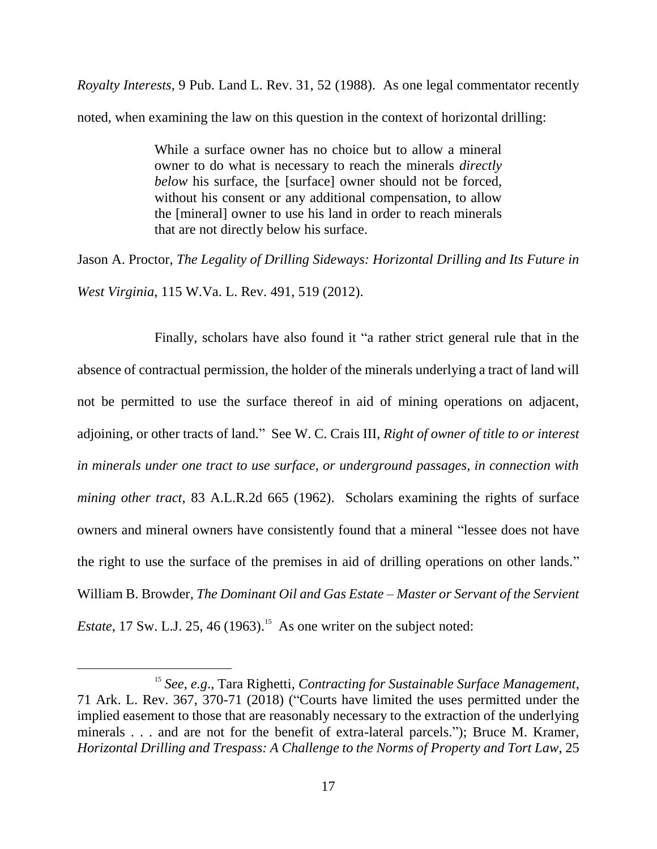*Royalty Interests*, 9 Pub. Land L. Rev. 31, 52 (1988). As one legal commentator recently noted, when examining the law on this question in the context of horizontal drilling:

> While a surface owner has no choice but to allow a mineral owner to do what is necessary to reach the minerals *directly below* his surface, the [surface] owner should not be forced, without his consent or any additional compensation, to allow the [mineral] owner to use his land in order to reach minerals that are not directly below his surface.

Jason A. Proctor, *The Legality of Drilling Sideways: Horizontal Drilling and Its Future in West Virginia*, 115 W.Va. L. Rev. 491, 519 (2012).

Finally, scholars have also found it "a rather strict general rule that in the absence of contractual permission, the holder of the minerals underlying a tract of land will not be permitted to use the surface thereof in aid of mining operations on adjacent, adjoining, or other tracts of land." See W. C. Crais III, *Right of owner of title to or interest in minerals under one tract to use surface, or underground passages, in connection with mining other tract*, 83 A.L.R.2d 665 (1962). Scholars examining the rights of surface owners and mineral owners have consistently found that a mineral "lessee does not have the right to use the surface of the premises in aid of drilling operations on other lands." William B. Browder, *The Dominant Oil and Gas Estate – Master or Servant of the Servient Estate*, 17 Sw. L.J. 25, 46 (1963).<sup>15</sup> As one writer on the subject noted:

<sup>15</sup> *See*, *e.g*., Tara Righetti, *Contracting for Sustainable Surface Management*, 71 Ark. L. Rev. 367, 370-71 (2018) ("Courts have limited the uses permitted under the implied easement to those that are reasonably necessary to the extraction of the underlying minerals . . . and are not for the benefit of extra-lateral parcels."); Bruce M. Kramer, *Horizontal Drilling and Trespass: A Challenge to the Norms of Property and Tort Law*, 25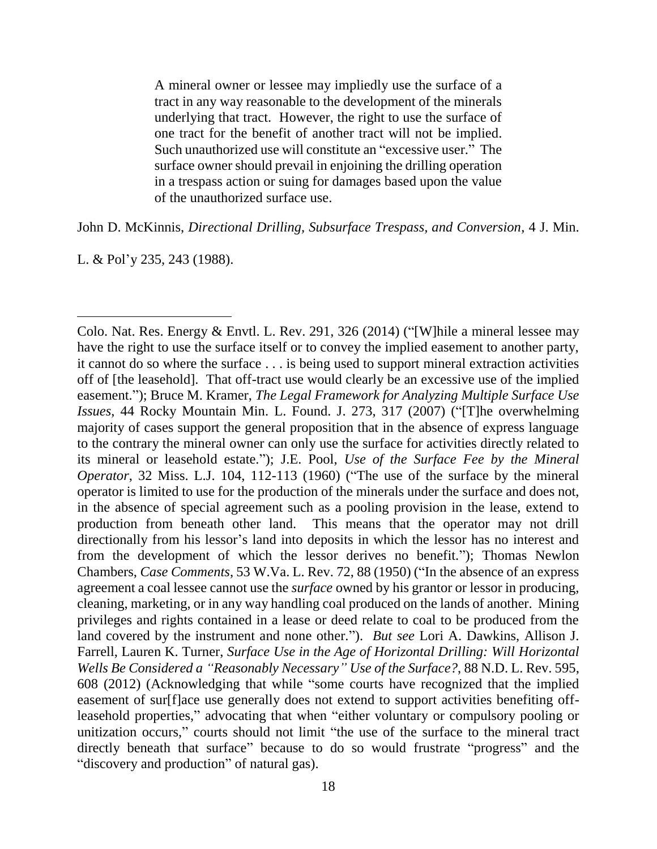A mineral owner or lessee may impliedly use the surface of a tract in any way reasonable to the development of the minerals underlying that tract. However, the right to use the surface of one tract for the benefit of another tract will not be implied. Such unauthorized use will constitute an "excessive user." The surface owner should prevail in enjoining the drilling operation in a trespass action or suing for damages based upon the value of the unauthorized surface use.

John D. McKinnis, *Directional Drilling, Subsurface Trespass, and Conversion*, 4 J. Min.

L. & Pol'y 235, 243 (1988).

Colo. Nat. Res. Energy & Envtl. L. Rev. 291, 326 (2014) ("[W]hile a mineral lessee may have the right to use the surface itself or to convey the implied easement to another party, it cannot do so where the surface . . . is being used to support mineral extraction activities off of [the leasehold]. That off-tract use would clearly be an excessive use of the implied easement."); Bruce M. Kramer, *The Legal Framework for Analyzing Multiple Surface Use Issues*, 44 Rocky Mountain Min. L. Found. J. 273, 317 (2007) ("[T]he overwhelming majority of cases support the general proposition that in the absence of express language to the contrary the mineral owner can only use the surface for activities directly related to its mineral or leasehold estate."); J.E. Pool, *Use of the Surface Fee by the Mineral Operator*, 32 Miss. L.J. 104, 112-113 (1960) ("The use of the surface by the mineral operator is limited to use for the production of the minerals under the surface and does not, in the absence of special agreement such as a pooling provision in the lease, extend to production from beneath other land. This means that the operator may not drill directionally from his lessor's land into deposits in which the lessor has no interest and from the development of which the lessor derives no benefit."); Thomas Newlon Chambers, *Case Comments*, 53 W.Va. L. Rev. 72, 88 (1950) ("In the absence of an express agreement a coal lessee cannot use the *surface* owned by his grantor or lessor in producing, cleaning, marketing, or in any way handling coal produced on the lands of another. Mining privileges and rights contained in a lease or deed relate to coal to be produced from the land covered by the instrument and none other."). *But see* Lori A. Dawkins, Allison J. Farrell, Lauren K. Turner, *Surface Use in the Age of Horizontal Drilling: Will Horizontal Wells Be Considered a "Reasonably Necessary" Use of the Surface?*, 88 N.D. L. Rev. 595, 608 (2012) (Acknowledging that while "some courts have recognized that the implied easement of sur[f]ace use generally does not extend to support activities benefiting offleasehold properties," advocating that when "either voluntary or compulsory pooling or unitization occurs," courts should not limit "the use of the surface to the mineral tract directly beneath that surface" because to do so would frustrate "progress" and the "discovery and production" of natural gas).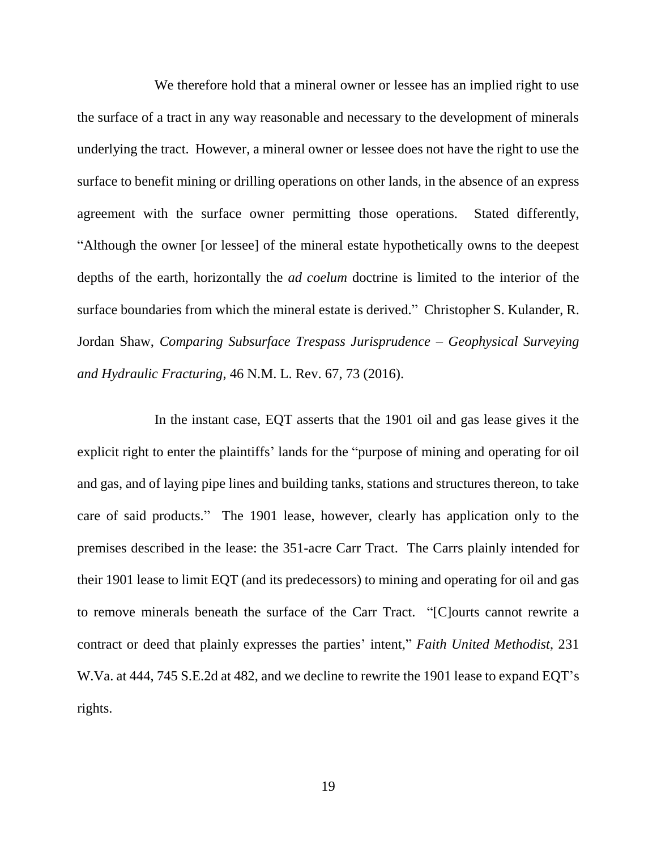We therefore hold that a mineral owner or lessee has an implied right to use the surface of a tract in any way reasonable and necessary to the development of minerals underlying the tract. However, a mineral owner or lessee does not have the right to use the surface to benefit mining or drilling operations on other lands, in the absence of an express agreement with the surface owner permitting those operations. Stated differently, "Although the owner [or lessee] of the mineral estate hypothetically owns to the deepest depths of the earth, horizontally the *ad coelum* doctrine is limited to the interior of the surface boundaries from which the mineral estate is derived." Christopher S. Kulander, R. Jordan Shaw, *Comparing Subsurface Trespass Jurisprudence – Geophysical Surveying and Hydraulic Fracturing*, 46 N.M. L. Rev. 67, 73 (2016).

In the instant case, EQT asserts that the 1901 oil and gas lease gives it the explicit right to enter the plaintiffs' lands for the "purpose of mining and operating for oil and gas, and of laying pipe lines and building tanks, stations and structures thereon, to take care of said products." The 1901 lease, however, clearly has application only to the premises described in the lease: the 351-acre Carr Tract. The Carrs plainly intended for their 1901 lease to limit EQT (and its predecessors) to mining and operating for oil and gas to remove minerals beneath the surface of the Carr Tract. "[C]ourts cannot rewrite a contract or deed that plainly expresses the parties' intent," *Faith United Methodist*, 231 W.Va. at 444, 745 S.E.2d at 482, and we decline to rewrite the 1901 lease to expand EQT's rights.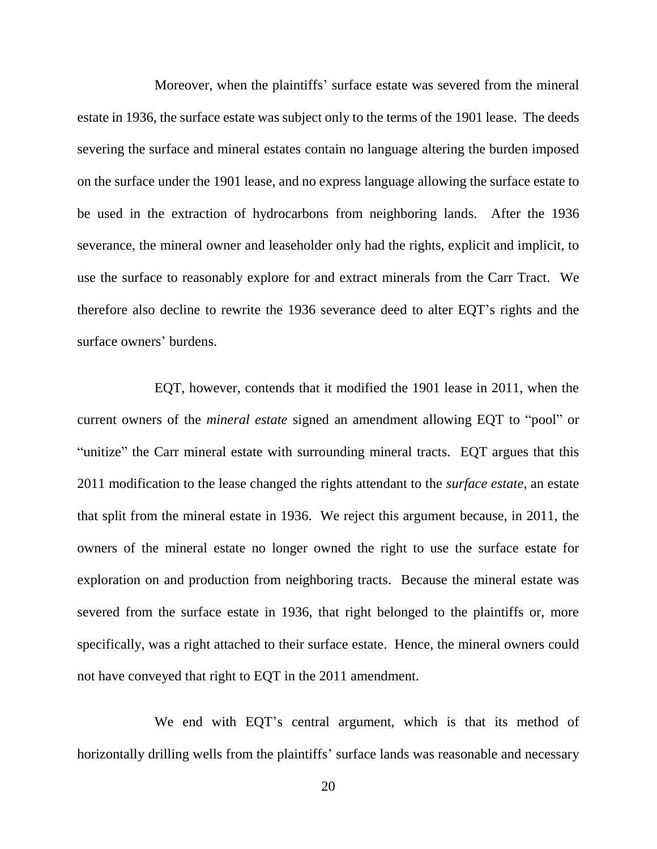Moreover, when the plaintiffs' surface estate was severed from the mineral estate in 1936, the surface estate was subject only to the terms of the 1901 lease. The deeds severing the surface and mineral estates contain no language altering the burden imposed on the surface under the 1901 lease, and no express language allowing the surface estate to be used in the extraction of hydrocarbons from neighboring lands. After the 1936 severance, the mineral owner and leaseholder only had the rights, explicit and implicit, to use the surface to reasonably explore for and extract minerals from the Carr Tract. We therefore also decline to rewrite the 1936 severance deed to alter EQT's rights and the surface owners' burdens.

EQT, however, contends that it modified the 1901 lease in 2011, when the current owners of the *mineral estate* signed an amendment allowing EQT to "pool" or "unitize" the Carr mineral estate with surrounding mineral tracts. EQT argues that this 2011 modification to the lease changed the rights attendant to the *surface estate*, an estate that split from the mineral estate in 1936. We reject this argument because, in 2011, the owners of the mineral estate no longer owned the right to use the surface estate for exploration on and production from neighboring tracts. Because the mineral estate was severed from the surface estate in 1936, that right belonged to the plaintiffs or, more specifically, was a right attached to their surface estate. Hence, the mineral owners could not have conveyed that right to EQT in the 2011 amendment.

We end with EQT's central argument, which is that its method of horizontally drilling wells from the plaintiffs' surface lands was reasonable and necessary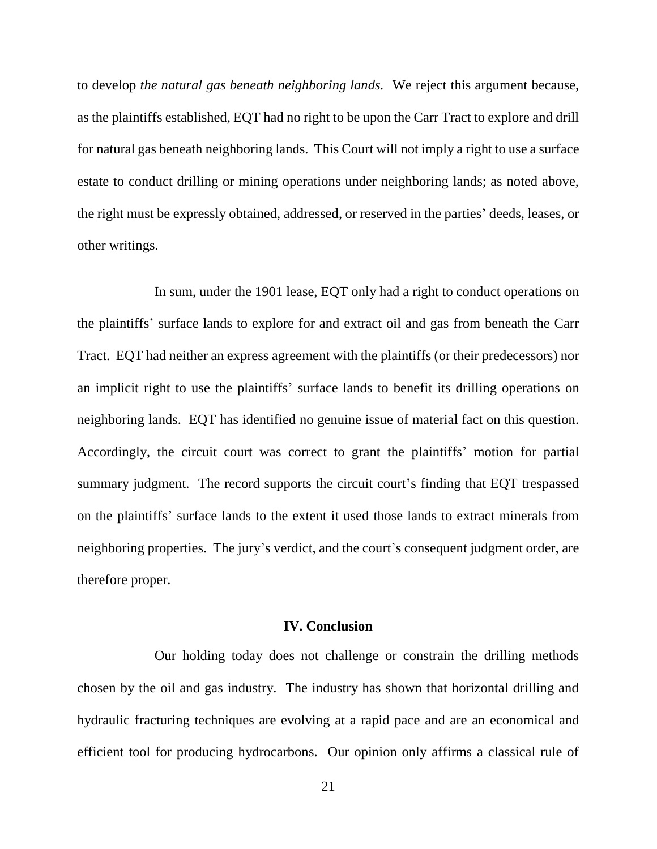to develop *the natural gas beneath neighboring lands.* We reject this argument because, as the plaintiffs established, EQT had no right to be upon the Carr Tract to explore and drill for natural gas beneath neighboring lands. This Court will not imply a right to use a surface estate to conduct drilling or mining operations under neighboring lands; as noted above, the right must be expressly obtained, addressed, or reserved in the parties' deeds, leases, or other writings.

In sum, under the 1901 lease, EQT only had a right to conduct operations on the plaintiffs' surface lands to explore for and extract oil and gas from beneath the Carr Tract. EQT had neither an express agreement with the plaintiffs (or their predecessors) nor an implicit right to use the plaintiffs' surface lands to benefit its drilling operations on neighboring lands. EQT has identified no genuine issue of material fact on this question. Accordingly, the circuit court was correct to grant the plaintiffs' motion for partial summary judgment. The record supports the circuit court's finding that EQT trespassed on the plaintiffs' surface lands to the extent it used those lands to extract minerals from neighboring properties. The jury's verdict, and the court's consequent judgment order, are therefore proper.

# **IV. Conclusion**

Our holding today does not challenge or constrain the drilling methods chosen by the oil and gas industry. The industry has shown that horizontal drilling and hydraulic fracturing techniques are evolving at a rapid pace and are an economical and efficient tool for producing hydrocarbons. Our opinion only affirms a classical rule of